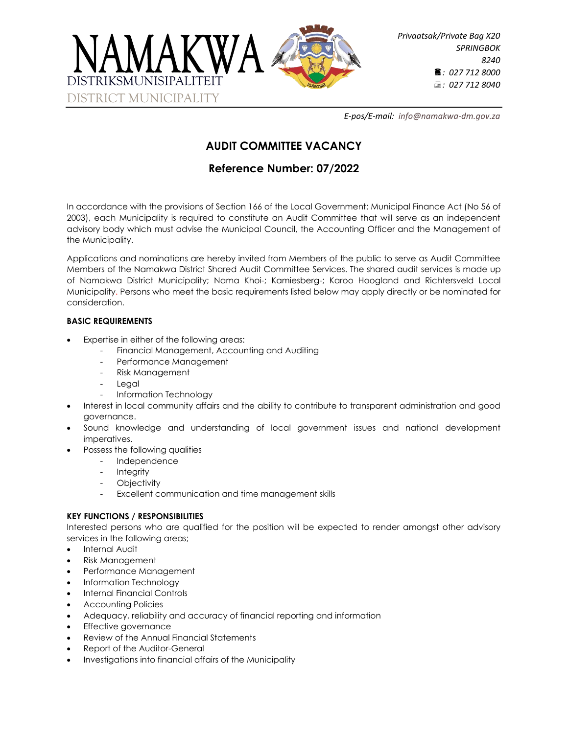

*E-pos/E-mail: [info@namakwa-dm.gov.za](mailto:info@namakwa-dm.gov.za)*

# **AUDIT COMMITTEE VACANCY**

## **Reference Number: 07/2022**

In accordance with the provisions of Section 166 of the Local Government: Municipal Finance Act (No 56 of 2003), each Municipality is required to constitute an Audit Committee that will serve as an independent advisory body which must advise the Municipal Council, the Accounting Officer and the Management of the Municipality.

Applications and nominations are hereby invited from Members of the public to serve as Audit Committee Members of the Namakwa District Shared Audit Committee Services. The shared audit services is made up of Namakwa District Municipality; Nama Khoi-; Kamiesberg-; Karoo Hoogland and Richtersveld Local Municipality. Persons who meet the basic requirements listed below may apply directly or be nominated for consideration.

#### **BASIC REQUIREMENTS**

- Expertise in either of the following areas:
	- Financial Management, Accounting and Auditing
	- Performance Management
	- Risk Management
	- **Legal**
	- Information Technology
- Interest in local community affairs and the ability to contribute to transparent administration and good governance.
- Sound knowledge and understanding of local government issues and national development imperatives.
- Possess the following qualities
	- Independence
	- Integrity
	- **Objectivity**
	- Excellent communication and time management skills

### **KEY FUNCTIONS / RESPONSIBILITIES**

Interested persons who are qualified for the position will be expected to render amongst other advisory services in the following areas;

- Internal Audit
- Risk Management
- Performance Management
- Information Technology
- Internal Financial Controls
- Accounting Policies
- Adequacy, reliability and accuracy of financial reporting and information
- **Effective governance**
- Review of the Annual Financial Statements
- Report of the Auditor-General
- Investigations into financial affairs of the Municipality